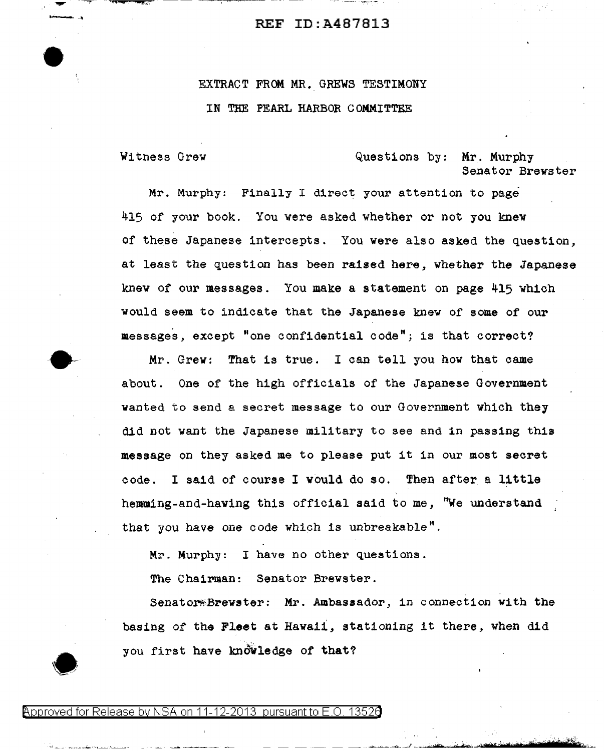## REF ID:A487813

## EXTRACT FROM MR. GREWS TESTIMONY IN THE PEARL HARBOR COMMITTEE

,...... ------r- - ""'"'\*'· ii@.' ......

•

Witness Grew Questions by: Mr. Murphy Senator Brewster

Mr. Murphy: Finally I direct your attention to page 415 of your book. You were asked whether or not you knew of these Japanese intercepts. You were also asked the question, at least the question has been raised here, whether the Japanese knew of our messages. You make a statement on page 415 which would seem to indicate that the Japanese knew of some of our messages, except "one confidential code"; is that correct?

Mr. Grew: That is true. I can tell you how that came about. One of the high officials of the Japanese Government wanted to send a secret message to our Government which they did not want the Japanese military to see and in passing this message on they asked me to please put it in our most secret code. I said of course I would do so. Then after a little hemming-and-having this official said to me, "We understand that you have one code which is unbreakable".

Mr. Murphy: I have no other questions.

The Chairman: Senator Brewster.

Senator\*Brewster: Mr. Ambassador, in connection with the basing of the Fieet at Hawaii, stationing it there, when did you first have knowledge of that?



Approved for Release by NSA on 11-12-2013 pursuant to E.O. 13520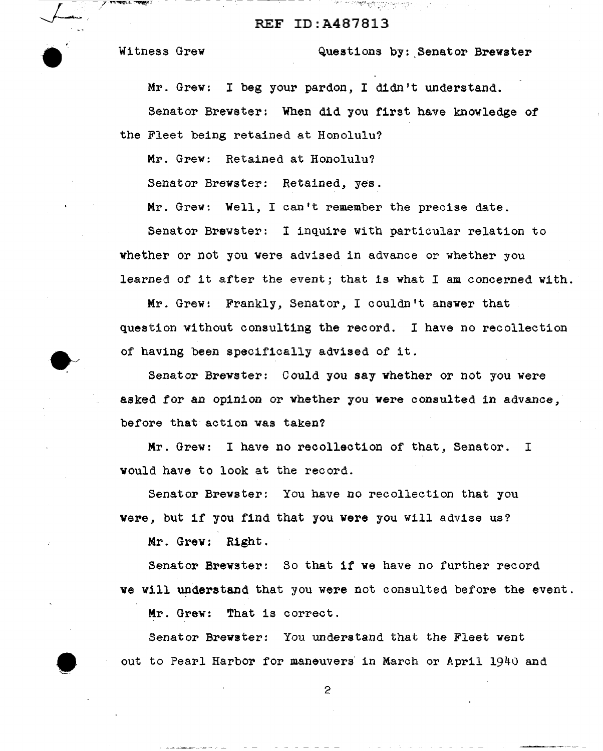## REF ID:A487813

 $\mathcal{F} \subset \mathcal{F} \cap \mathcal{F} \cap \mathcal{F} \cap \mathcal{F} \cap \mathcal{F} \cap \mathcal{F} \cap \mathcal{F}$ 

Witness Grew **Questions by: Senator Brewster** 

Mr. Grew: I beg your pardon, I didn't understand.

Senator Brewster: When did you first have knowledge of the Fleet being retained at Honolulu?

Mr. Grew: Retained at Honolulu?

Senator Brewster: Retained, yes.

Mr. Grew: Well, I can't remember the precise date.

Senator Brewster: I inquire With particular relation to vhether or not you were advised in advance or whether you learned of it after the event; that is what I am concerned with.

Mr. Grew: Frankly, Senator, I couldn't answer that question without consulting the record. I have no recollection of having been specifically advised of it.

Senator Brewster: Could you say whether or not you were asked tor an opinion or whether you were consulted in advance, before that action was taken?

Mr. Grew: I have no recollection of that, Senator. I would have to look at the record.

Senator Brewster: You have no recollection that you were, but if you find that you were you will advise us?

Mr. Grew: Right.

Senator Brewster: So that if we have no further record we will understand that you were not consulted before the event.

Mr. Grev: That is correct.

Senator Brewster: You understand that the Fleet went out to Pearl Harbor for maneuvers in March or April 1940 and

•

2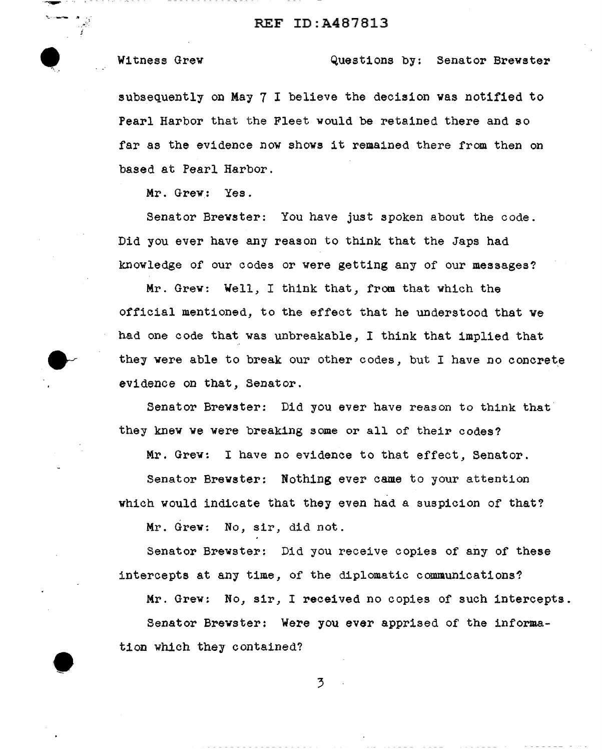REF ID:A487813

\_\_. - . 'J:"\_. \_\_\_ ...\_. *A'* 

 $\bullet$   $\cdot$   $\cdot$ 

 $\bullet$ 

j

Witness Grew Questions by: Senator Brewster

subsequently on May 7 I believe the decision was notified to Pearl Harbor that the Fleet vould be retained there and so far as the evidence now shows it remained there from then on based at Pearl Harbor.

Mr. Grew: Yes.

Senator Brewster: You have just spoken about the code. Did you ever have any reason to think that the Japs had knowledge of our codes or vere getting any of our messages?

Mr. Grew: Well, I think that, from that which the official mentioned, to the effect that he understood that we had one code that was unbreakable, I think that implied that they were able to break our other codes, but I have no concrete evidence on that, Senator.

Senator Brewster: Did you ever have reason to think that they knew we were breaking some or all of their codes?

Mr. Grew: I have no evidence to that effect, Senator.

Senator Brewster: Nothing ever came to your attention which would indicate that they even had a suspicion of that?

Mr. Grew: No, sir, did not.

Senator Brewster: Did you receive copies of any of these intercepts at any time, of the diplomatic communications?

Mr. Grew: No, sir, I received no copies of such intercepts. Senator Brewster: Were you ever apprised of the information which they contained?